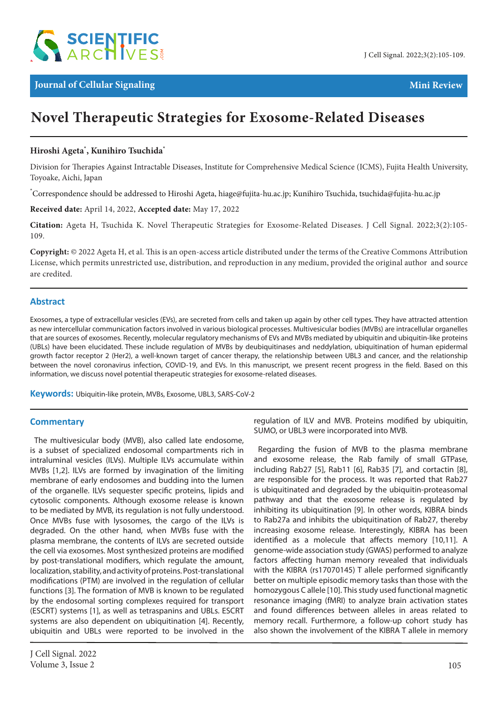

# **Novel Therapeutic Strategies for Exosome-Related Diseases**

### **Hiroshi Ageta\* , Kunihiro Tsuchida\***

Division for Therapies Against Intractable Diseases, Institute for Comprehensive Medical Science (ICMS), Fujita Health University, Toyoake, Aichi, Japan

\* Correspondence should be addressed to Hiroshi Ageta, hiage@fujita-hu.ac.jp; Kunihiro Tsuchida, tsuchida@fujita-hu.ac.jp

**Received date:** April 14, 2022, **Accepted date:** May 17, 2022

**Citation:** Ageta H, Tsuchida K. Novel Therapeutic Strategies for Exosome-Related Diseases. J Cell Signal. 2022;3(2):105- 109.

**Copyright:** © 2022 Ageta H, et al. This is an open-access article distributed under the terms of the Creative Commons Attribution License, which permits unrestricted use, distribution, and reproduction in any medium, provided the original author and source are credited.

#### **Abstract**

Exosomes, a type of extracellular vesicles (EVs), are secreted from cells and taken up again by other cell types. They have attracted attention as new intercellular communication factors involved in various biological processes. Multivesicular bodies (MVBs) are intracellular organelles that are sources of exosomes. Recently, molecular regulatory mechanisms of EVs and MVBs mediated by ubiquitin and ubiquitin-like proteins (UBLs) have been elucidated. These include regulation of MVBs by deubiquitinases and neddylation, ubiquitination of human epidermal growth factor receptor 2 (Her2), a well-known target of cancer therapy, the relationship between UBL3 and cancer, and the relationship between the novel coronavirus infection, COVID-19, and EVs. In this manuscript, we present recent progress in the field. Based on this information, we discuss novel potential therapeutic strategies for exosome-related diseases.

**Keywords:** Ubiquitin-like protein, MVBs, Exosome, UBL3, SARS-CoV-2

#### **Commentary**

The multivesicular body (MVB), also called late endosome, is a subset of specialized endosomal compartments rich in intraluminal vesicles (ILVs). Multiple ILVs accumulate within MVBs [1,2]. ILVs are formed by invagination of the limiting membrane of early endosomes and budding into the lumen of the organelle. ILVs sequester specific proteins, lipids and cytosolic components. Although exosome release is known to be mediated by MVB, its regulation is not fully understood. Once MVBs fuse with lysosomes, the cargo of the ILVs is degraded. On the other hand, when MVBs fuse with the plasma membrane, the contents of ILVs are secreted outside the cell via exosomes. Most synthesized proteins are modified by post-translational modifiers, which regulate the amount, localization, stability, and activity of proteins. Post-translational modifications (PTM) are involved in the regulation of cellular functions [3]. The formation of MVB is known to be regulated by the endosomal sorting complexes required for transport (ESCRT) systems [1], as well as tetraspanins and UBLs. ESCRT systems are also dependent on ubiquitination [4]. Recently, ubiquitin and UBLs were reported to be involved in the

regulation of ILV and MVB. Proteins modified by ubiquitin, SUMO, or UBL3 were incorporated into MVB.

Regarding the fusion of MVB to the plasma membrane and exosome release, the Rab family of small GTPase, including Rab27 [5], Rab11 [6], Rab35 [7], and cortactin [8], are responsible for the process. It was reported that Rab27 is ubiquitinated and degraded by the ubiquitin-proteasomal pathway and that the exosome release is regulated by inhibiting its ubiquitination [9]. In other words, KIBRA binds to Rab27a and inhibits the ubiquitination of Rab27, thereby increasing exosome release. Interestingly, KIBRA has been identified as a molecule that affects memory [10,11]. A genome-wide association study (GWAS) performed to analyze factors affecting human memory revealed that individuals with the KIBRA (rs17070145) T allele performed significantly better on multiple episodic memory tasks than those with the homozygous C allele [10]. This study used functional magnetic resonance imaging (fMRI) to analyze brain activation states and found differences between alleles in areas related to memory recall. Furthermore, a follow-up cohort study has also shown the involvement of the KIBRA T allele in memory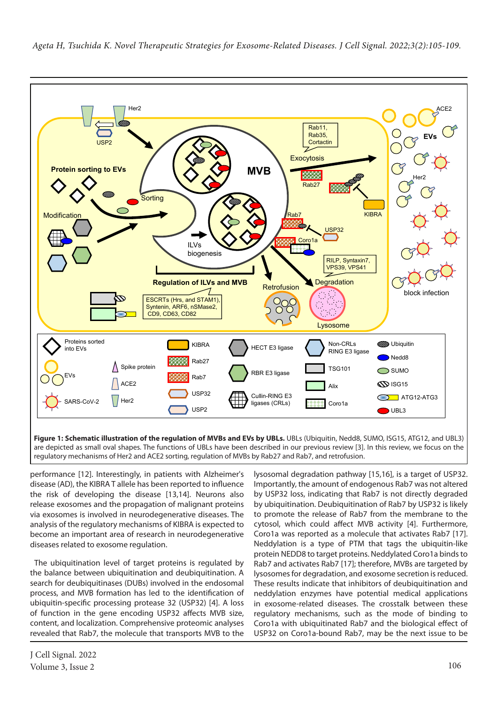

**Figure 1: Schematic illustration of the regulation of MVBs and EVs by UBLs.** UBLs (Ubiquitin, Nedd8, SUMO, ISG15, ATG12, and UBL3) are depicted as small oval shapes. The functions of UBLs have been described in our previous review [3]. In this review, we focus on the regulatory mechanisms of Her2 and ACE2 sorting, regulation of MVBs by Rab27 and Rab7, and retrofusion.

performance [12]. Interestingly, in patients with Alzheimer's disease (AD), the KIBRA T allele has been reported to influence the risk of developing the disease [13,14]. Neurons also release exosomes and the propagation of malignant proteins via exosomes is involved in neurodegenerative diseases. The analysis of the regulatory mechanisms of KIBRA is expected to become an important area of research in neurodegenerative diseases related to exosome regulation.

The ubiquitination level of target proteins is regulated by the balance between ubiquitination and deubiquitination. A search for deubiquitinases (DUBs) involved in the endosomal process, and MVB formation has led to the identification of ubiquitin-specific processing protease 32 (USP32) [4]. A loss of function in the gene encoding USP32 affects MVB size, content, and localization. Comprehensive proteomic analyses revealed that Rab7, the molecule that transports MVB to the

lysosomal degradation pathway [15,16], is a target of USP32. Importantly, the amount of endogenous Rab7 was not altered by USP32 loss, indicating that Rab7 is not directly degraded by ubiquitination. Deubiquitination of Rab7 by USP32 is likely to promote the release of Rab7 from the membrane to the cytosol, which could affect MVB activity [4]. Furthermore, Coro1a was reported as a molecule that activates Rab7 [17]. Neddylation is a type of PTM that tags the ubiquitin-like protein NEDD8 to target proteins. Neddylated Coro1a binds to Rab7 and activates Rab7 [17]; therefore, MVBs are targeted by lysosomes for degradation, and exosome secretion is reduced. These results indicate that inhibitors of deubiquitination and neddylation enzymes have potential medical applications in exosome-related diseases. The crosstalk between these regulatory mechanisms, such as the mode of binding to Coro1a with ubiquitinated Rab7 and the biological effect of USP32 on Coro1a-bound Rab7, may be the next issue to be

 *Ageta H, Tsuchida K. Novel Therapeutic Strategies for Exosome-Related Diseases. J Cell Signal. 2022;3(2):105-109.*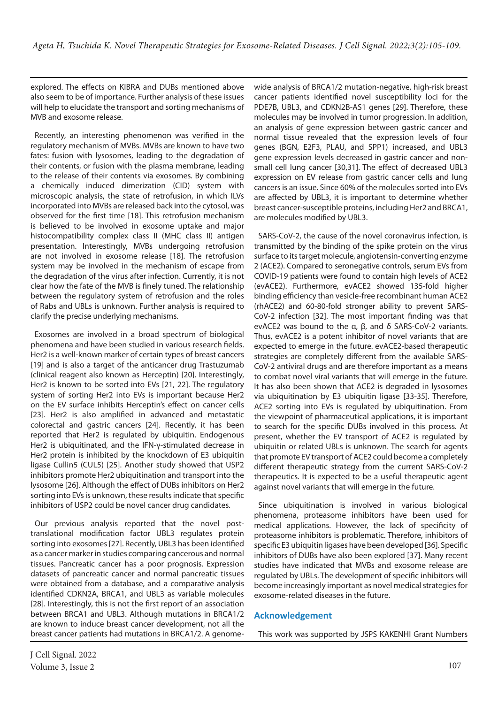explored. The effects on KIBRA and DUBs mentioned above also seem to be of importance. Further analysis of these issues will help to elucidate the transport and sorting mechanisms of MVB and exosome release.

Recently, an interesting phenomenon was verified in the regulatory mechanism of MVBs. MVBs are known to have two fates: fusion with lysosomes, leading to the degradation of their contents, or fusion with the plasma membrane, leading to the release of their contents via exosomes. By combining a chemically induced dimerization (CID) system with microscopic analysis, the state of retrofusion, in which ILVs incorporated into MVBs are released back into the cytosol, was observed for the first time [18]. This retrofusion mechanism is believed to be involved in exosome uptake and major histocompatibility complex class II (MHC class II) antigen presentation. Interestingly, MVBs undergoing retrofusion are not involved in exosome release [18]. The retrofusion system may be involved in the mechanism of escape from the degradation of the virus after infection. Currently, it is not clear how the fate of the MVB is finely tuned. The relationship between the regulatory system of retrofusion and the roles of Rabs and UBLs is unknown. Further analysis is required to clarify the precise underlying mechanisms.

Exosomes are involved in a broad spectrum of biological phenomena and have been studied in various research fields. Her2 is a well-known marker of certain types of breast cancers [19] and is also a target of the anticancer drug Trastuzumab (clinical reagent also known as Herceptin) [20]. Interestingly, Her2 is known to be sorted into EVs [21, 22]. The regulatory system of sorting Her2 into EVs is important because Her2 on the EV surface inhibits Herceptin's effect on cancer cells [23]. Her2 is also amplified in advanced and metastatic colorectal and gastric cancers [24]. Recently, it has been reported that Her2 is regulated by ubiquitin. Endogenous Her2 is ubiquitinated, and the IFN-γ-stimulated decrease in Her2 protein is inhibited by the knockdown of E3 ubiquitin ligase Cullin5 (CUL5) [25]. Another study showed that USP2 inhibitors promote Her2 ubiquitination and transport into the lysosome [26]. Although the effect of DUBs inhibitors on Her2 sorting into EVs is unknown, these results indicate that specific inhibitors of USP2 could be novel cancer drug candidates.

Our previous analysis reported that the novel posttranslational modification factor UBL3 regulates protein sorting into exosomes [27]. Recently, UBL3 has been identified as a cancer marker in studies comparing cancerous and normal tissues. Pancreatic cancer has a poor prognosis. Expression datasets of pancreatic cancer and normal pancreatic tissues were obtained from a database, and a comparative analysis identified CDKN2A, BRCA1, and UBL3 as variable molecules [28]. Interestingly, this is not the first report of an association between BRCA1 and UBL3. Although mutations in BRCA1/2 are known to induce breast cancer development, not all the breast cancer patients had mutations in BRCA1/2. A genomewide analysis of BRCA1/2 mutation-negative, high-risk breast cancer patients identified novel susceptibility loci for the PDE7B, UBL3, and CDKN2B-AS1 genes [29]. Therefore, these molecules may be involved in tumor progression. In addition, an analysis of gene expression between gastric cancer and normal tissue revealed that the expression levels of four genes (BGN, E2F3, PLAU, and SPP1) increased, and UBL3 gene expression levels decreased in gastric cancer and nonsmall cell lung cancer [30,31]. The effect of decreased UBL3 expression on EV release from gastric cancer cells and lung cancers is an issue. Since 60% of the molecules sorted into EVs are affected by UBL3, it is important to determine whether breast cancer-susceptible proteins, including Her2 and BRCA1, are molecules modified by UBL3.

SARS-CoV-2, the cause of the novel coronavirus infection, is transmitted by the binding of the spike protein on the virus surface to its target molecule, angiotensin-converting enzyme 2 (ACE2). Compared to seronegative controls, serum EVs from COVID-19 patients were found to contain high levels of ACE2 (evACE2). Furthermore, evACE2 showed 135-fold higher binding efficiency than vesicle-free recombinant human ACE2 (rhACE2) and 60-80-fold stronger ability to prevent SARS-CoV-2 infection [32]. The most important finding was that evACE2 was bound to the α, β, and δ SARS-CoV-2 variants. Thus, evACE2 is a potent inhibitor of novel variants that are expected to emerge in the future. evACE2-based therapeutic strategies are completely different from the available SARS-CoV-2 antiviral drugs and are therefore important as a means to combat novel viral variants that will emerge in the future. It has also been shown that ACE2 is degraded in lysosomes via ubiquitination by E3 ubiquitin ligase [33-35]. Therefore, ACE2 sorting into EVs is regulated by ubiquitination. From the viewpoint of pharmaceutical applications, it is important to search for the specific DUBs involved in this process. At present, whether the EV transport of ACE2 is regulated by ubiquitin or related UBLs is unknown. The search for agents that promote EV transport of ACE2 could become a completely different therapeutic strategy from the current SARS-CoV-2 therapeutics. It is expected to be a useful therapeutic agent against novel variants that will emerge in the future.

Since ubiquitination is involved in various biological phenomena, proteasome inhibitors have been used for medical applications. However, the lack of specificity of proteasome inhibitors is problematic. Therefore, inhibitors of specific E3 ubiquitin ligases have been developed [36]. Specific inhibitors of DUBs have also been explored [37]. Many recent studies have indicated that MVBs and exosome release are regulated by UBLs. The development of specific inhibitors will become increasingly important as novel medical strategies for exosome-related diseases in the future.

## **Acknowledgement**

This work was supported by JSPS KAKENHI Grant Numbers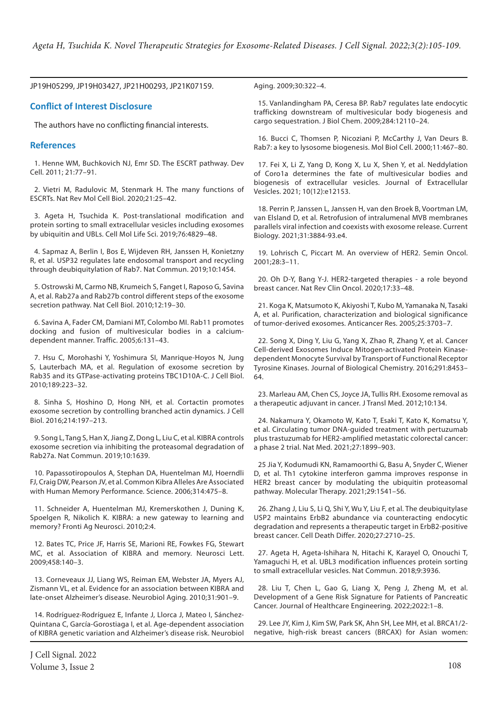JP19H05299, JP19H03427, JP21H00293, JP21K07159.

#### **Conflict of Interest Disclosure**

The authors have no conflicting financial interests.

#### **References**

1. Henne WM, Buchkovich NJ, Emr SD. The ESCRT pathway. Dev Cell. 2011; 21:77–91.

2. Vietri M, Radulovic M, Stenmark H. The many functions of ESCRTs. Nat Rev Mol Cell Biol. 2020;21:25–42.

3. Ageta H, Tsuchida K. Post-translational modification and protein sorting to small extracellular vesicles including exosomes by ubiquitin and UBLs. Cell Mol Life Sci. 2019;76:4829–48.

4. Sapmaz A, Berlin I, Bos E, Wijdeven RH, Janssen H, Konietzny R, et al. USP32 regulates late endosomal transport and recycling through deubiquitylation of Rab7. Nat Commun. 2019;10:1454.

5. Ostrowski M, Carmo NB, Krumeich S, Fanget I, Raposo G, Savina A, et al. Rab27a and Rab27b control different steps of the exosome secretion pathway. Nat Cell Biol. 2010;12:19–30.

6. Savina A, Fader CM, Damiani MT, Colombo MI. Rab11 promotes docking and fusion of multivesicular bodies in a calciumdependent manner. Traffic. 2005;6:131–43.

7. Hsu C, Morohashi Y, Yoshimura SI, Manrique-Hoyos N, Jung S, Lauterbach MA, et al. Regulation of exosome secretion by Rab35 and its GTPase-activating proteins TBC1D10A-C. J Cell Biol. 2010;189:223–32.

8. Sinha S, Hoshino D, Hong NH, et al. Cortactin promotes exosome secretion by controlling branched actin dynamics. J Cell Biol. 2016;214:197–213.

9. Song L, Tang S, Han X, Jiang Z, Dong L, Liu C, et al. KIBRA controls exosome secretion via inhibiting the proteasomal degradation of Rab27a. Nat Commun. 2019;10:1639.

10. Papassotiropoulos A, Stephan DA, Huentelman MJ, Hoerndli FJ, Craig DW, Pearson JV, et al. Common Kibra Alleles Are Associated with Human Memory Performance. Science. 2006;314:475–8.

11. Schneider A, Huentelman MJ, Kremerskothen J, Duning K, Spoelgen R, Nikolich K. KIBRA: a new gateway to learning and memory? Fronti Ag Neurosci. 2010;2:4.

12. Bates TC, Price JF, Harris SE, Marioni RE, Fowkes FG, Stewart MC, et al. Association of KIBRA and memory. Neurosci Lett. 2009;458:140–3.

13. Corneveaux JJ, Liang WS, Reiman EM, Webster JA, Myers AJ, Zismann VL, et al. Evidence for an association between KIBRA and late-onset Alzheimer's disease. Neurobiol Aging. 2010;31:901–9.

14. Rodríguez-Rodríguez E, Infante J, Llorca J, Mateo I, Sánchez-Quintana C, García-Gorostiaga I, et al. Age-dependent association of KIBRA genetic variation and Alzheimer's disease risk. Neurobiol Aging. 2009;30:322–4.

15. Vanlandingham PA, Ceresa BP. Rab7 regulates late endocytic trafficking downstream of multivesicular body biogenesis and cargo sequestration. J Biol Chem. 2009;284:12110–24.

16. Bucci C, Thomsen P, Nicoziani P, McCarthy J, Van Deurs B. Rab7: a key to lysosome biogenesis. Mol Biol Cell. 2000;11:467–80.

17. Fei X, Li Z, Yang D, Kong X, Lu X, Shen Y, et al. Neddylation of Coro1a determines the fate of multivesicular bodies and biogenesis of extracellular vesicles. Journal of Extracellular Vesicles. 2021; 10(12):e12153.

18. Perrin P, Janssen L, Janssen H, van den Broek B, Voortman LM, van Elsland D, et al. Retrofusion of intralumenal MVB membranes parallels viral infection and coexists with exosome release. Current Biology. 2021;31:3884-93.e4.

19. Lohrisch C, Piccart M. An overview of HER2. Semin Oncol. 2001;28:3–11.

20. Oh D-Y, Bang Y-J. HER2-targeted therapies - a role beyond breast cancer. Nat Rev Clin Oncol. 2020;17:33–48.

21. Koga K, Matsumoto K, Akiyoshi T, Kubo M, Yamanaka N, Tasaki A, et al. Purification, characterization and biological significance of tumor-derived exosomes. Anticancer Res. 2005;25:3703–7.

22. Song X, Ding Y, Liu G, Yang X, Zhao R, Zhang Y, et al. Cancer Cell-derived Exosomes Induce Mitogen-activated Protein Kinasedependent Monocyte Survival by Transport of Functional Receptor Tyrosine Kinases. Journal of Biological Chemistry. 2016;291:8453– 64.

23. Marleau AM, Chen CS, Joyce JA, Tullis RH. Exosome removal as a therapeutic adjuvant in cancer. J Transl Med. 2012;10:134.

24. Nakamura Y, Okamoto W, Kato T, Esaki T, Kato K, Komatsu Y, et al. Circulating tumor DNA-guided treatment with pertuzumab plus trastuzumab for HER2-amplified metastatic colorectal cancer: a phase 2 trial. Nat Med. 2021;27:1899–903.

25 Jia Y, Kodumudi KN, Ramamoorthi G, Basu A, Snyder C, Wiener D, et al. Th1 cytokine interferon gamma improves response in HER2 breast cancer by modulating the ubiquitin proteasomal pathway. Molecular Therapy. 2021;29:1541–56.

26. Zhang J, Liu S, Li Q, Shi Y, Wu Y, Liu F, et al. The deubiquitylase USP2 maintains ErbB2 abundance via counteracting endocytic degradation and represents a therapeutic target in ErbB2-positive breast cancer. Cell Death Differ. 2020;27:2710–25.

27. Ageta H, Ageta-Ishihara N, Hitachi K, Karayel O, Onouchi T, Yamaguchi H, et al. UBL3 modification influences protein sorting to small extracellular vesicles. Nat Commun. 2018;9:3936.

28. Liu T, Chen L, Gao G, Liang X, Peng J, Zheng M, et al. Development of a Gene Risk Signature for Patients of Pancreatic Cancer. Journal of Healthcare Engineering. 2022;2022:1–8.

29. Lee JY, Kim J, Kim SW, Park SK, Ahn SH, Lee MH, et al. BRCA1/2 negative, high-risk breast cancers (BRCAX) for Asian women: